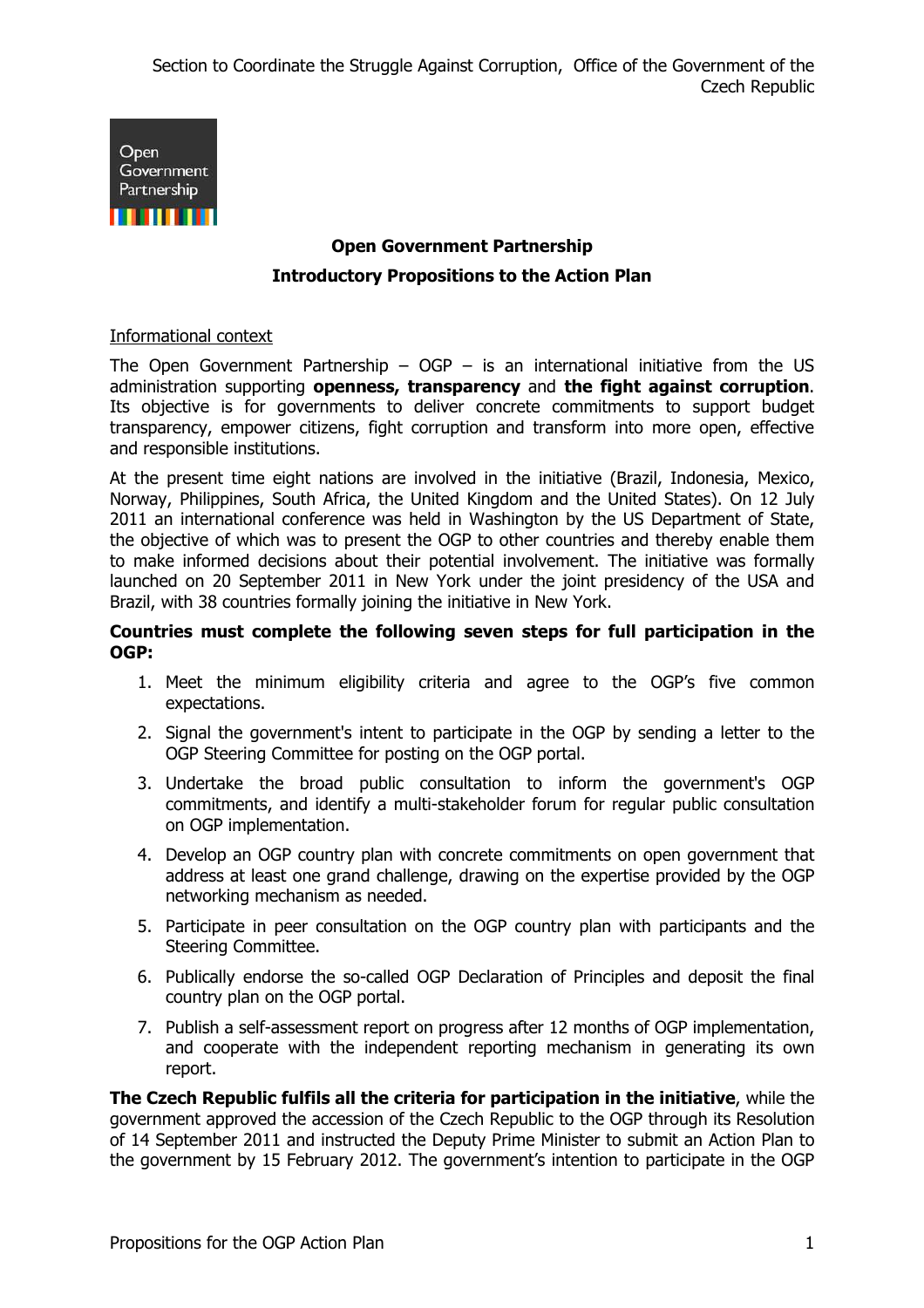

# **Open Government Partnership Introductory Propositions to the Action Plan**

#### Informational context

The Open Government Partnership –  $OGP -$  is an international initiative from the US administration supporting **openness, transparency** and **the fight against corruption**. Its objective is for governments to deliver concrete commitments to support budget transparency, empower citizens, fight corruption and transform into more open, effective and responsible institutions.

At the present time eight nations are involved in the initiative (Brazil, Indonesia, Mexico, Norway, Philippines, South Africa, the United Kingdom and the United States). On 12 July 2011 an international conference was held in Washington by the US Department of State, the objective of which was to present the OGP to other countries and thereby enable them to make informed decisions about their potential involvement. The initiative was formally launched on 20 September 2011 in New York under the joint presidency of the USA and Brazil, with 38 countries formally joining the initiative in New York.

#### **Countries must complete the following seven steps for full participation in the OGP:**

- 1. Meet the minimum eligibility criteria and agree to the OGP's five common expectations.
- 2. Signal the government's intent to participate in the OGP by sending a letter to the OGP Steering Committee for posting on the OGP portal.
- 3. Undertake the broad public consultation to inform the government's OGP commitments, and identify a multi-stakeholder forum for regular public consultation on OGP implementation.
- 4. Develop an OGP country plan with concrete commitments on open government that address at least one grand challenge, drawing on the expertise provided by the OGP networking mechanism as needed.
- 5. Participate in peer consultation on the OGP country plan with participants and the Steering Committee.
- 6. Publically endorse the so-called OGP Declaration of Principles and deposit the final country plan on the OGP portal.
- 7. Publish a self-assessment report on progress after 12 months of OGP implementation, and cooperate with the independent reporting mechanism in generating its own report.

**The Czech Republic fulfils all the criteria for participation in the initiative**, while the government approved the accession of the Czech Republic to the OGP through its Resolution of 14 September 2011 and instructed the Deputy Prime Minister to submit an Action Plan to the government by 15 February 2012. The government's intention to participate in the OGP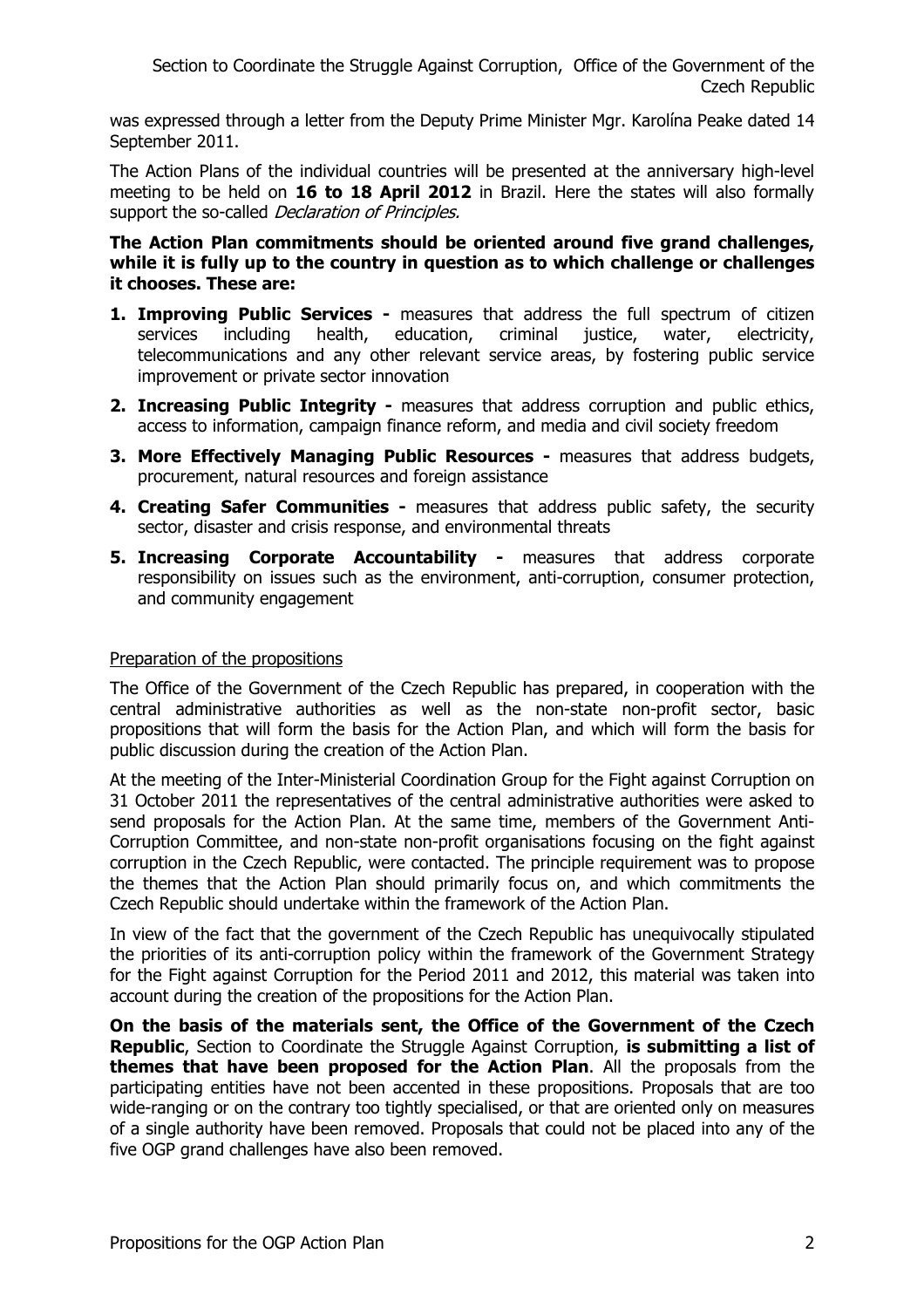was expressed through a letter from the Deputy Prime Minister Mgr. Karolína Peake dated 14 September 2011.

The Action Plans of the individual countries will be presented at the anniversary high-level meeting to be held on **16 to 18 April 2012** in Brazil. Here the states will also formally support the so-called *Declaration of Principles.* 

**The Action Plan commitments should be oriented around five grand challenges,**  while it is fully up to the country in question as to which challenge or challenges **it chooses. These are:** 

- **1. Improving Public Services** measures that address the full spectrum of citizen services including health, education, criminal justice, water, electricity, telecommunications and any other relevant service areas, by fostering public service improvement or private sector innovation
- **2. Increasing Public Integrity** measures that address corruption and public ethics, access to information, campaign finance reform, and media and civil society freedom
- **3. More Effectively Managing Public Resources** measures that address budgets, procurement, natural resources and foreign assistance
- **4. Creating Safer Communities** measures that address public safety, the security sector, disaster and crisis response, and environmental threats
- **5. Increasing Corporate Accountability -** measures that address corporate responsibility on issues such as the environment, anti-corruption, consumer protection, and community engagement

#### Preparation of the propositions

The Office of the Government of the Czech Republic has prepared, in cooperation with the central administrative authorities as well as the non-state non-profit sector, basic propositions that will form the basis for the Action Plan, and which will form the basis for public discussion during the creation of the Action Plan.

At the meeting of the Inter-Ministerial Coordination Group for the Fight against Corruption on 31 October 2011 the representatives of the central administrative authorities were asked to send proposals for the Action Plan. At the same time, members of the Government Anti-Corruption Committee, and non-state non-profit organisations focusing on the fight against corruption in the Czech Republic, were contacted. The principle requirement was to propose the themes that the Action Plan should primarily focus on, and which commitments the Czech Republic should undertake within the framework of the Action Plan.

In view of the fact that the government of the Czech Republic has unequivocally stipulated the priorities of its anti-corruption policy within the framework of the Government Strategy for the Fight against Corruption for the Period 2011 and 2012, this material was taken into account during the creation of the propositions for the Action Plan.

**On the basis of the materials sent, the Office of the Government of the Czech Republic**, Section to Coordinate the Struggle Against Corruption, **is submitting a list of themes that have been proposed for the Action Plan**. All the proposals from the participating entities have not been accented in these propositions. Proposals that are too wide-ranging or on the contrary too tightly specialised, or that are oriented only on measures of a single authority have been removed. Proposals that could not be placed into any of the five OGP grand challenges have also been removed.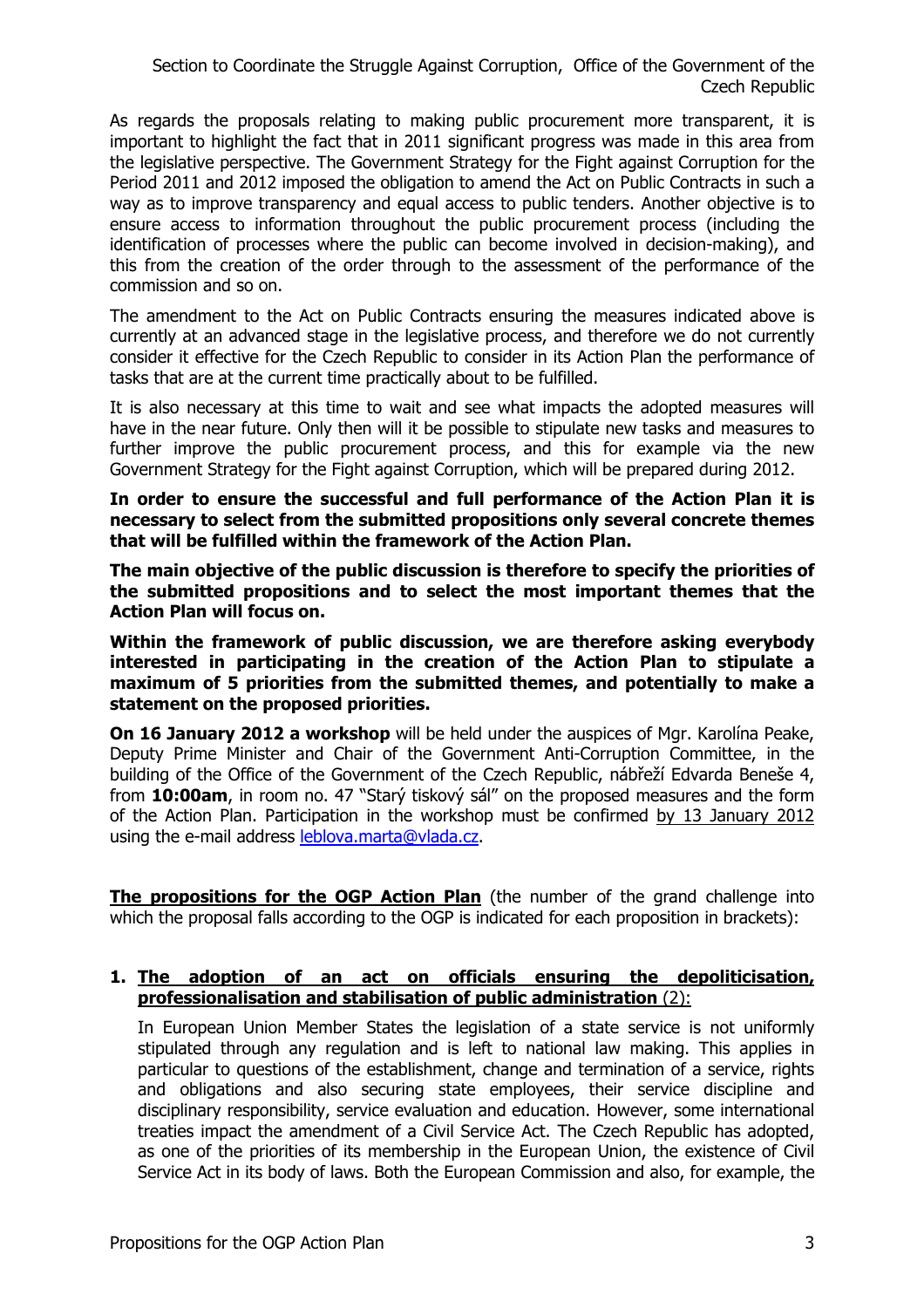As regards the proposals relating to making public procurement more transparent, it is important to highlight the fact that in 2011 significant progress was made in this area from the legislative perspective. The Government Strategy for the Fight against Corruption for the Period 2011 and 2012 imposed the obligation to amend the Act on Public Contracts in such a way as to improve transparency and equal access to public tenders. Another objective is to ensure access to information throughout the public procurement process (including the identification of processes where the public can become involved in decision-making), and this from the creation of the order through to the assessment of the performance of the commission and so on.

The amendment to the Act on Public Contracts ensuring the measures indicated above is currently at an advanced stage in the legislative process, and therefore we do not currently consider it effective for the Czech Republic to consider in its Action Plan the performance of tasks that are at the current time practically about to be fulfilled.

It is also necessary at this time to wait and see what impacts the adopted measures will have in the near future. Only then will it be possible to stipulate new tasks and measures to further improve the public procurement process, and this for example via the new Government Strategy for the Fight against Corruption, which will be prepared during 2012.

**In order to ensure the successful and full performance of the Action Plan it is necessary to select from the submitted propositions only several concrete themes that will be fulfilled within the framework of the Action Plan.**

**The main objective of the public discussion is therefore to specify the priorities of the submitted propositions and to select the most important themes that the Action Plan will focus on.** 

**Within the framework of public discussion, we are therefore asking everybody interested in participating in the creation of the Action Plan to stipulate a maximum of 5 priorities from the submitted themes, and potentially to make a statement on the proposed priorities.** 

**On 16 January 2012 a workshop** will be held under the auspices of Mgr. Karolína Peake, Deputy Prime Minister and Chair of the Government Anti-Corruption Committee, in the building of the Office of the Government of the Czech Republic, nábřeží Edvarda Beneše 4, from **10:00am**, in room no. 47 "Starý tiskový sál" on the proposed measures and the form of the Action Plan. Participation in the workshop must be confirmed by 13 January 2012 using the e-mail address leblova.marta@vlada.cz.

**The propositions for the OGP Action Plan** (the number of the grand challenge into which the proposal falls according to the OGP is indicated for each proposition in brackets):

## **1. The adoption of an act on officials ensuring the depoliticisation, professionalisation and stabilisation of public administration** (2):

In European Union Member States the legislation of a state service is not uniformly stipulated through any regulation and is left to national law making. This applies in particular to questions of the establishment, change and termination of a service, rights and obligations and also securing state employees, their service discipline and disciplinary responsibility, service evaluation and education. However, some international treaties impact the amendment of a Civil Service Act. The Czech Republic has adopted, as one of the priorities of its membership in the European Union, the existence of Civil Service Act in its body of laws. Both the European Commission and also, for example, the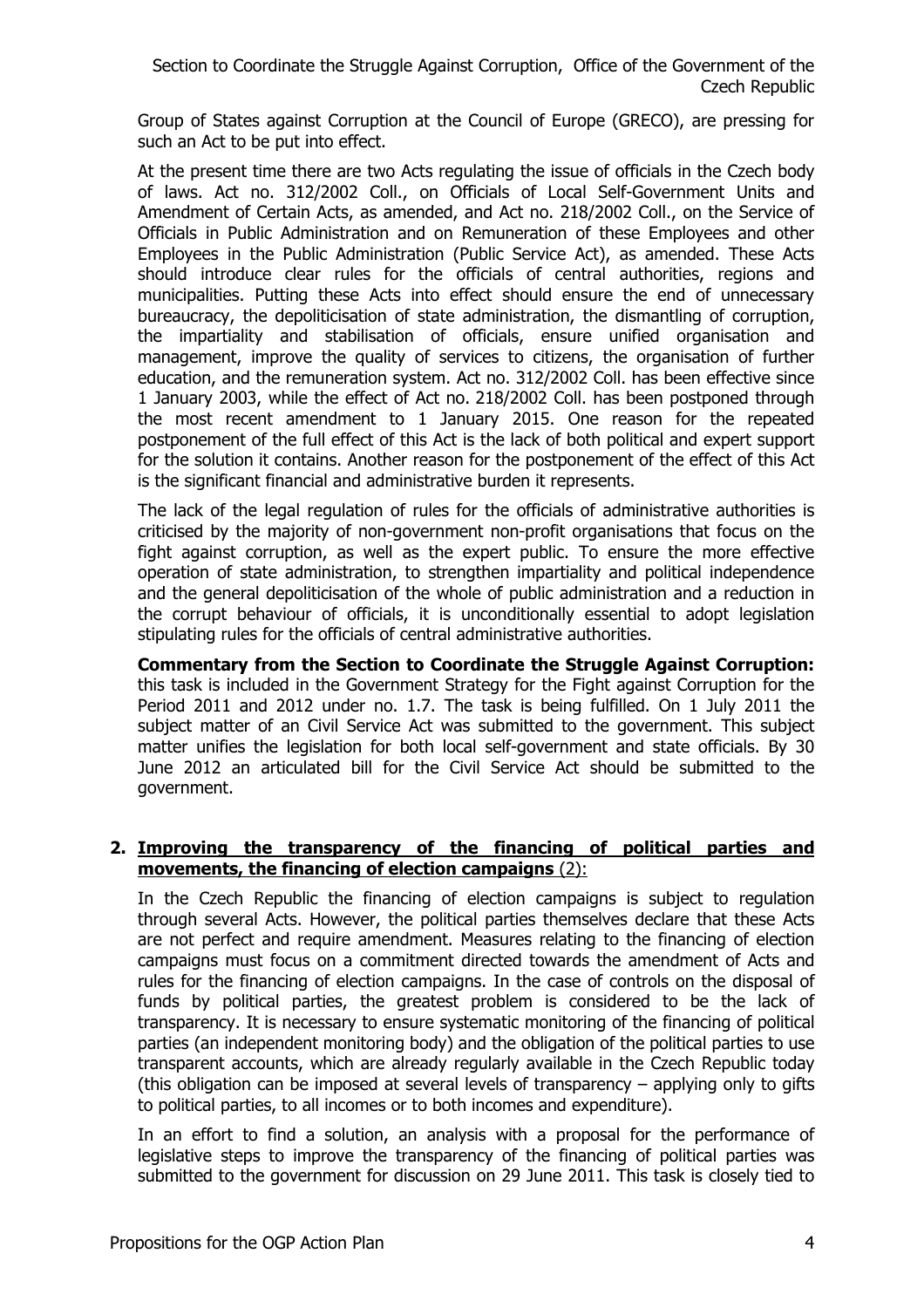Group of States against Corruption at the Council of Europe (GRECO), are pressing for such an Act to be put into effect.

At the present time there are two Acts regulating the issue of officials in the Czech body of laws. Act no. 312/2002 Coll., on Officials of Local Self-Government Units and Amendment of Certain Acts, as amended, and Act no. 218/2002 Coll., on the Service of Officials in Public Administration and on Remuneration of these Employees and other Employees in the Public Administration (Public Service Act), as amended. These Acts should introduce clear rules for the officials of central authorities, regions and municipalities. Putting these Acts into effect should ensure the end of unnecessary bureaucracy, the depoliticisation of state administration, the dismantling of corruption, the impartiality and stabilisation of officials, ensure unified organisation and management, improve the quality of services to citizens, the organisation of further education, and the remuneration system. Act no. 312/2002 Coll. has been effective since 1 January 2003, while the effect of Act no. 218/2002 Coll. has been postponed through the most recent amendment to 1 January 2015. One reason for the repeated postponement of the full effect of this Act is the lack of both political and expert support for the solution it contains. Another reason for the postponement of the effect of this Act is the significant financial and administrative burden it represents.

The lack of the legal regulation of rules for the officials of administrative authorities is criticised by the majority of non-government non-profit organisations that focus on the fight against corruption, as well as the expert public. To ensure the more effective operation of state administration, to strengthen impartiality and political independence and the general depoliticisation of the whole of public administration and a reduction in the corrupt behaviour of officials, it is unconditionally essential to adopt legislation stipulating rules for the officials of central administrative authorities.

**Commentary from the Section to Coordinate the Struggle Against Corruption:** this task is included in the Government Strategy for the Fight against Corruption for the Period 2011 and 2012 under no. 1.7. The task is being fulfilled. On 1 July 2011 the subject matter of an Civil Service Act was submitted to the government. This subject matter unifies the legislation for both local self-government and state officials. By 30 June 2012 an articulated bill for the Civil Service Act should be submitted to the government.

#### **2. Improving the transparency of the financing of political parties and movements, the financing of election campaigns** (2):

In the Czech Republic the financing of election campaigns is subject to regulation through several Acts. However, the political parties themselves declare that these Acts are not perfect and require amendment. Measures relating to the financing of election campaigns must focus on a commitment directed towards the amendment of Acts and rules for the financing of election campaigns. In the case of controls on the disposal of funds by political parties, the greatest problem is considered to be the lack of transparency. It is necessary to ensure systematic monitoring of the financing of political parties (an independent monitoring body) and the obligation of the political parties to use transparent accounts, which are already regularly available in the Czech Republic today (this obligation can be imposed at several levels of transparency – applying only to gifts to political parties, to all incomes or to both incomes and expenditure).

In an effort to find a solution, an analysis with a proposal for the performance of legislative steps to improve the transparency of the financing of political parties was submitted to the government for discussion on 29 June 2011. This task is closely tied to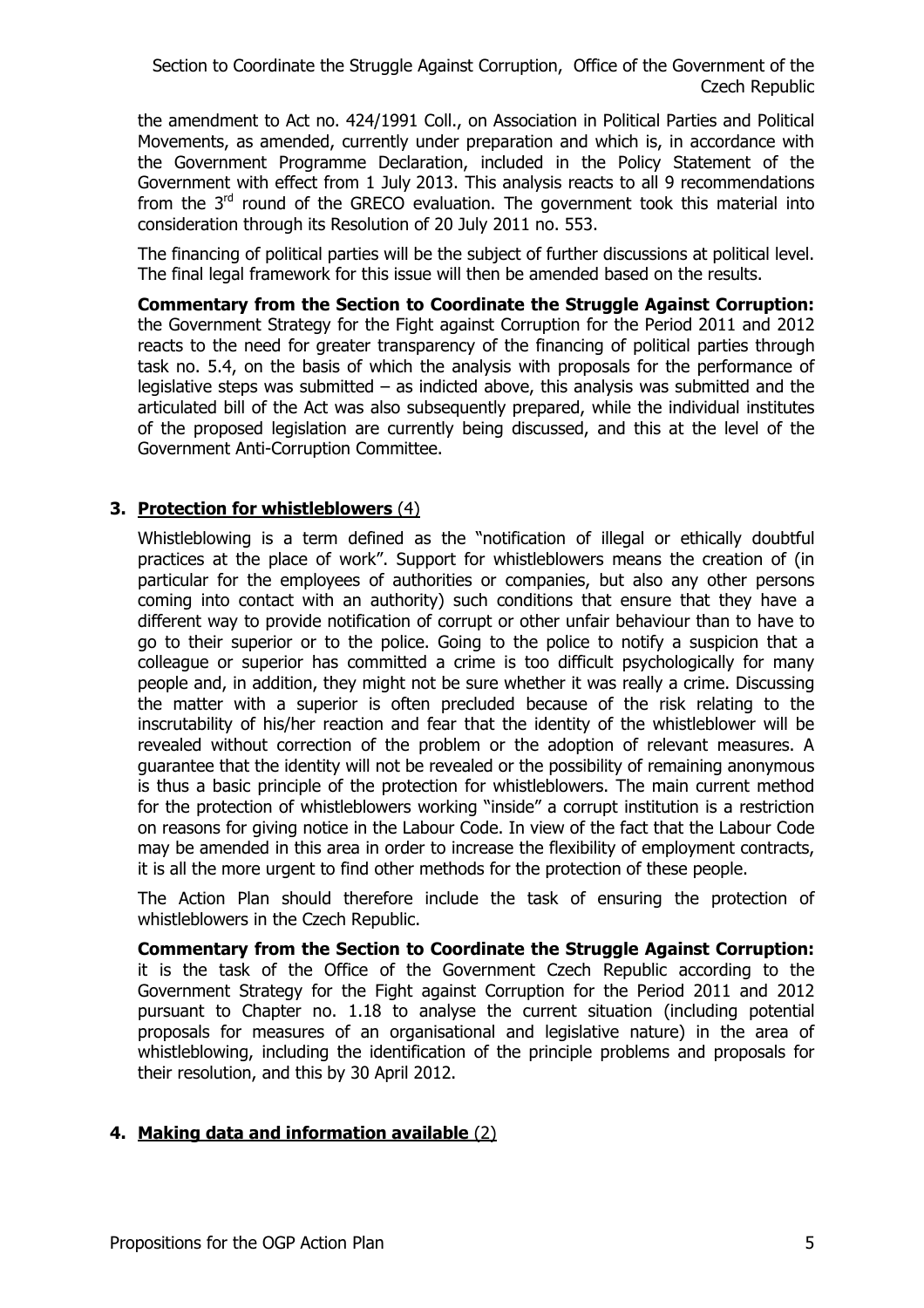the amendment to Act no. 424/1991 Coll., on Association in Political Parties and Political Movements, as amended, currently under preparation and which is, in accordance with the Government Programme Declaration, included in the Policy Statement of the Government with effect from 1 July 2013. This analysis reacts to all 9 recommendations from the  $3<sup>rd</sup>$  round of the GRECO evaluation. The government took this material into consideration through its Resolution of 20 July 2011 no. 553.

The financing of political parties will be the subject of further discussions at political level. The final legal framework for this issue will then be amended based on the results.

**Commentary from the Section to Coordinate the Struggle Against Corruption:** the Government Strategy for the Fight against Corruption for the Period 2011 and 2012 reacts to the need for greater transparency of the financing of political parties through task no. 5.4, on the basis of which the analysis with proposals for the performance of legislative steps was submitted – as indicted above, this analysis was submitted and the articulated bill of the Act was also subsequently prepared, while the individual institutes of the proposed legislation are currently being discussed, and this at the level of the Government Anti-Corruption Committee.

## **3. Protection for whistleblowers** (4)

Whistleblowing is a term defined as the "notification of illegal or ethically doubtful practices at the place of work". Support for whistleblowers means the creation of (in particular for the employees of authorities or companies, but also any other persons coming into contact with an authority) such conditions that ensure that they have a different way to provide notification of corrupt or other unfair behaviour than to have to go to their superior or to the police. Going to the police to notify a suspicion that a colleague or superior has committed a crime is too difficult psychologically for many people and, in addition, they might not be sure whether it was really a crime. Discussing the matter with a superior is often precluded because of the risk relating to the inscrutability of his/her reaction and fear that the identity of the whistleblower will be revealed without correction of the problem or the adoption of relevant measures. A guarantee that the identity will not be revealed or the possibility of remaining anonymous is thus a basic principle of the protection for whistleblowers. The main current method for the protection of whistleblowers working "inside" a corrupt institution is a restriction on reasons for giving notice in the Labour Code. In view of the fact that the Labour Code may be amended in this area in order to increase the flexibility of employment contracts, it is all the more urgent to find other methods for the protection of these people.

The Action Plan should therefore include the task of ensuring the protection of whistleblowers in the Czech Republic.

**Commentary from the Section to Coordinate the Struggle Against Corruption:** it is the task of the Office of the Government Czech Republic according to the Government Strategy for the Fight against Corruption for the Period 2011 and 2012 pursuant to Chapter no. 1.18 to analyse the current situation (including potential proposals for measures of an organisational and legislative nature) in the area of whistleblowing, including the identification of the principle problems and proposals for their resolution, and this by 30 April 2012.

## **4. Making data and information available** (2)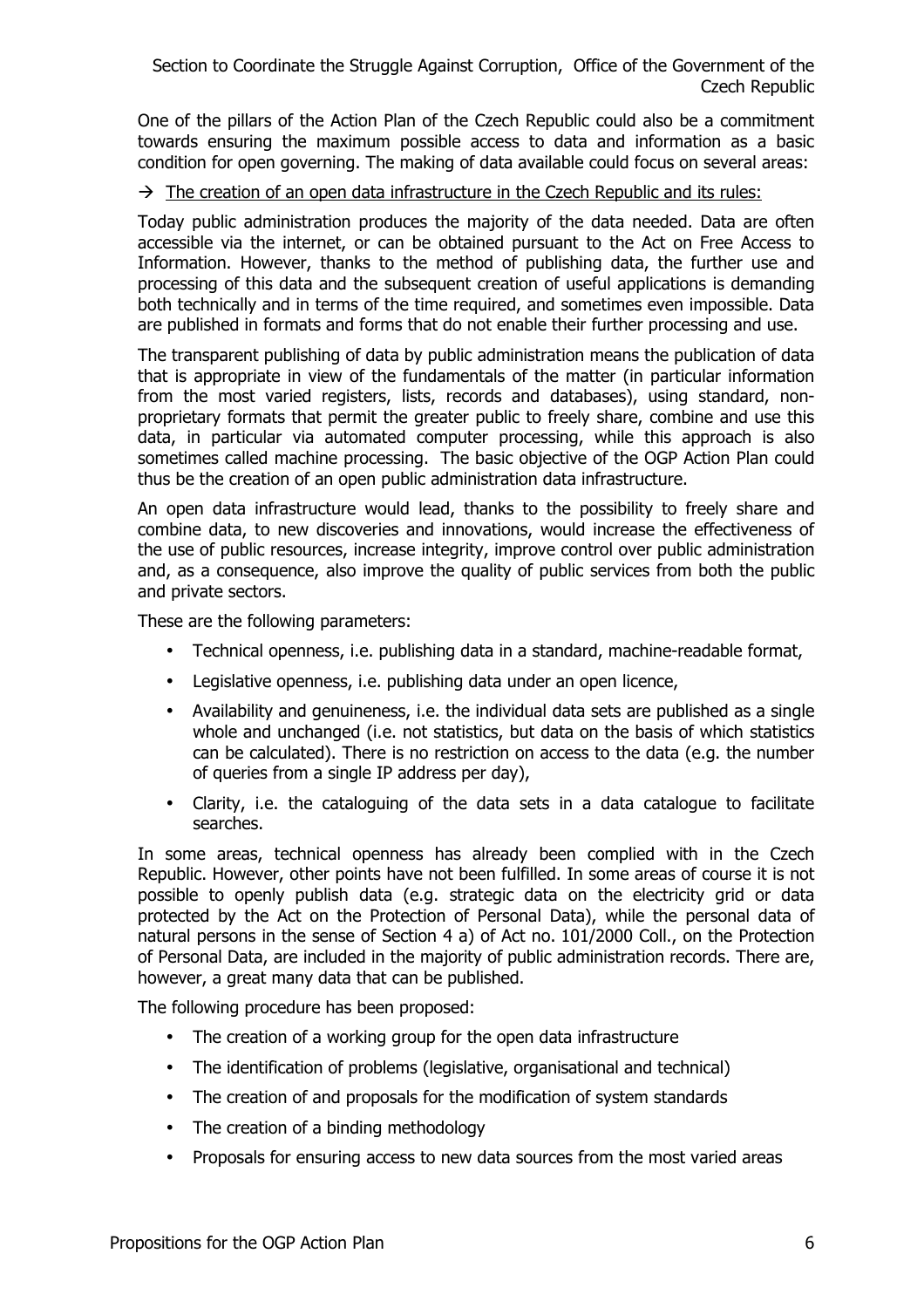One of the pillars of the Action Plan of the Czech Republic could also be a commitment towards ensuring the maximum possible access to data and information as a basic condition for open governing. The making of data available could focus on several areas:

### $\rightarrow$  The creation of an open data infrastructure in the Czech Republic and its rules:

Today public administration produces the majority of the data needed. Data are often accessible via the internet, or can be obtained pursuant to the Act on Free Access to Information. However, thanks to the method of publishing data, the further use and processing of this data and the subsequent creation of useful applications is demanding both technically and in terms of the time required, and sometimes even impossible. Data are published in formats and forms that do not enable their further processing and use.

The transparent publishing of data by public administration means the publication of data that is appropriate in view of the fundamentals of the matter (in particular information from the most varied registers, lists, records and databases), using standard, nonproprietary formats that permit the greater public to freely share, combine and use this data, in particular via automated computer processing, while this approach is also sometimes called machine processing. The basic objective of the OGP Action Plan could thus be the creation of an open public administration data infrastructure.

An open data infrastructure would lead, thanks to the possibility to freely share and combine data, to new discoveries and innovations, would increase the effectiveness of the use of public resources, increase integrity, improve control over public administration and, as a consequence, also improve the quality of public services from both the public and private sectors.

These are the following parameters:

- Technical openness, i.e. publishing data in a standard, machine-readable format,
- Legislative openness, i.e. publishing data under an open licence,
- Availability and genuineness, i.e. the individual data sets are published as a single whole and unchanged (i.e. not statistics, but data on the basis of which statistics can be calculated). There is no restriction on access to the data (e.g. the number of queries from a single IP address per day),
- Clarity, i.e. the cataloguing of the data sets in a data catalogue to facilitate searches.

In some areas, technical openness has already been complied with in the Czech Republic. However, other points have not been fulfilled. In some areas of course it is not possible to openly publish data (e.g. strategic data on the electricity grid or data protected by the Act on the Protection of Personal Data), while the personal data of natural persons in the sense of Section 4 a) of Act no. 101/2000 Coll., on the Protection of Personal Data, are included in the majority of public administration records. There are, however, a great many data that can be published.

The following procedure has been proposed:

- The creation of a working group for the open data infrastructure
- The identification of problems (legislative, organisational and technical)
- The creation of and proposals for the modification of system standards
- The creation of a binding methodology
- Proposals for ensuring access to new data sources from the most varied areas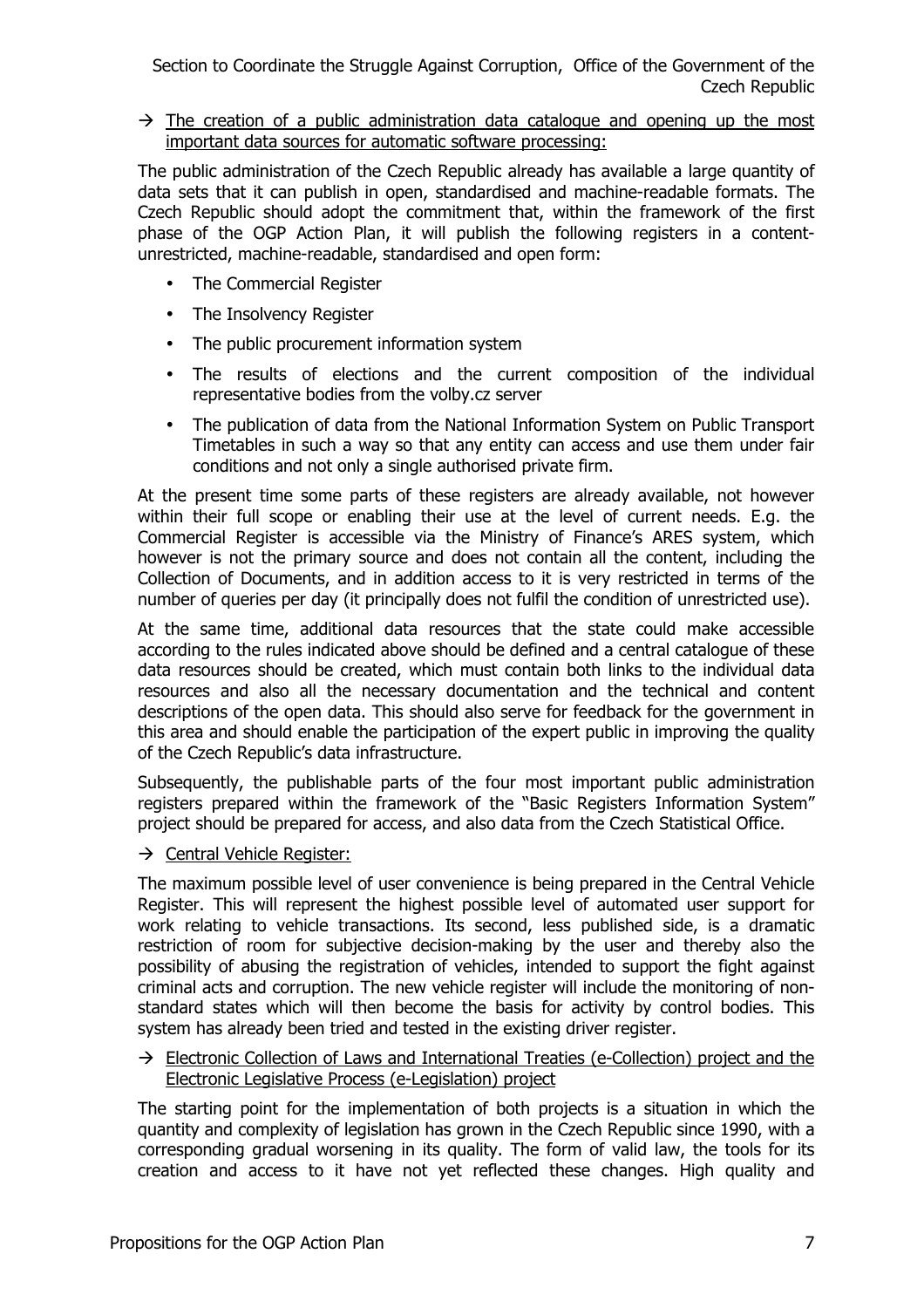$\rightarrow$  The creation of a public administration data catalogue and opening up the most important data sources for automatic software processing:

The public administration of the Czech Republic already has available a large quantity of data sets that it can publish in open, standardised and machine-readable formats. The Czech Republic should adopt the commitment that, within the framework of the first phase of the OGP Action Plan, it will publish the following registers in a contentunrestricted, machine-readable, standardised and open form:

- The Commercial Register
- The Insolvency Register
- The public procurement information system
- The results of elections and the current composition of the individual representative bodies from the volby.cz server
- The publication of data from the National Information System on Public Transport Timetables in such a way so that any entity can access and use them under fair conditions and not only a single authorised private firm.

At the present time some parts of these registers are already available, not however within their full scope or enabling their use at the level of current needs. E.g. the Commercial Register is accessible via the Ministry of Finance's ARES system, which however is not the primary source and does not contain all the content, including the Collection of Documents, and in addition access to it is very restricted in terms of the number of queries per day (it principally does not fulfil the condition of unrestricted use).

At the same time, additional data resources that the state could make accessible according to the rules indicated above should be defined and a central catalogue of these data resources should be created, which must contain both links to the individual data resources and also all the necessary documentation and the technical and content descriptions of the open data. This should also serve for feedback for the government in this area and should enable the participation of the expert public in improving the quality of the Czech Republic's data infrastructure.

Subsequently, the publishable parts of the four most important public administration registers prepared within the framework of the "Basic Registers Information System" project should be prepared for access, and also data from the Czech Statistical Office.

 $\rightarrow$  Central Vehicle Register:

The maximum possible level of user convenience is being prepared in the Central Vehicle Register. This will represent the highest possible level of automated user support for work relating to vehicle transactions. Its second, less published side, is a dramatic restriction of room for subjective decision-making by the user and thereby also the possibility of abusing the registration of vehicles, intended to support the fight against criminal acts and corruption. The new vehicle register will include the monitoring of nonstandard states which will then become the basis for activity by control bodies. This system has already been tried and tested in the existing driver register.

#### $\rightarrow$  Electronic Collection of Laws and International Treaties (e-Collection) project and the Electronic Legislative Process (e-Legislation) project

The starting point for the implementation of both projects is a situation in which the quantity and complexity of legislation has grown in the Czech Republic since 1990, with a corresponding gradual worsening in its quality. The form of valid law, the tools for its creation and access to it have not yet reflected these changes. High quality and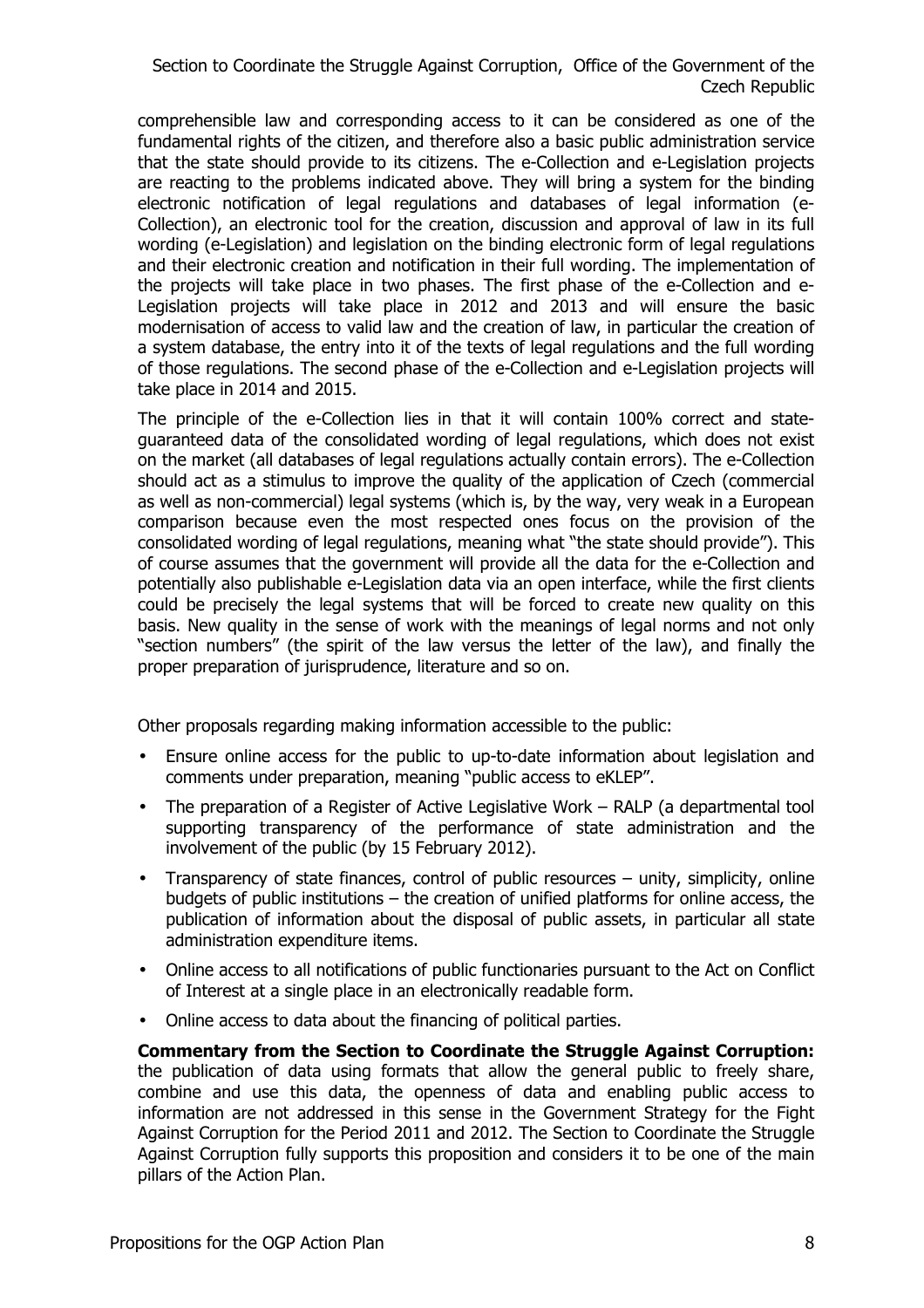comprehensible law and corresponding access to it can be considered as one of the fundamental rights of the citizen, and therefore also a basic public administration service that the state should provide to its citizens. The e-Collection and e-Legislation projects are reacting to the problems indicated above. They will bring a system for the binding electronic notification of legal regulations and databases of legal information (e-Collection), an electronic tool for the creation, discussion and approval of law in its full wording (e-Legislation) and legislation on the binding electronic form of legal regulations and their electronic creation and notification in their full wording. The implementation of the projects will take place in two phases. The first phase of the e-Collection and e-Legislation projects will take place in 2012 and 2013 and will ensure the basic modernisation of access to valid law and the creation of law, in particular the creation of a system database, the entry into it of the texts of legal regulations and the full wording of those regulations. The second phase of the e-Collection and e-Legislation projects will take place in 2014 and 2015.

The principle of the e-Collection lies in that it will contain 100% correct and stateguaranteed data of the consolidated wording of legal regulations, which does not exist on the market (all databases of legal regulations actually contain errors). The e-Collection should act as a stimulus to improve the quality of the application of Czech (commercial as well as non-commercial) legal systems (which is, by the way, very weak in a European comparison because even the most respected ones focus on the provision of the consolidated wording of legal regulations, meaning what "the state should provide"). This of course assumes that the government will provide all the data for the e-Collection and potentially also publishable e-Legislation data via an open interface, while the first clients could be precisely the legal systems that will be forced to create new quality on this basis. New quality in the sense of work with the meanings of legal norms and not only "section numbers" (the spirit of the law versus the letter of the law), and finally the proper preparation of jurisprudence, literature and so on.

Other proposals regarding making information accessible to the public:

- Ensure online access for the public to up-to-date information about legislation and comments under preparation, meaning "public access to eKLEP".
- The preparation of a Register of Active Legislative Work RALP (a departmental tool supporting transparency of the performance of state administration and the involvement of the public (by 15 February 2012).
- Transparency of state finances, control of public resources unity, simplicity, online budgets of public institutions – the creation of unified platforms for online access, the publication of information about the disposal of public assets, in particular all state administration expenditure items.
- Online access to all notifications of public functionaries pursuant to the Act on Conflict of Interest at a single place in an electronically readable form.
- Online access to data about the financing of political parties.

**Commentary from the Section to Coordinate the Struggle Against Corruption:** the publication of data using formats that allow the general public to freely share, combine and use this data, the openness of data and enabling public access to information are not addressed in this sense in the Government Strategy for the Fight Against Corruption for the Period 2011 and 2012. The Section to Coordinate the Struggle Against Corruption fully supports this proposition and considers it to be one of the main pillars of the Action Plan.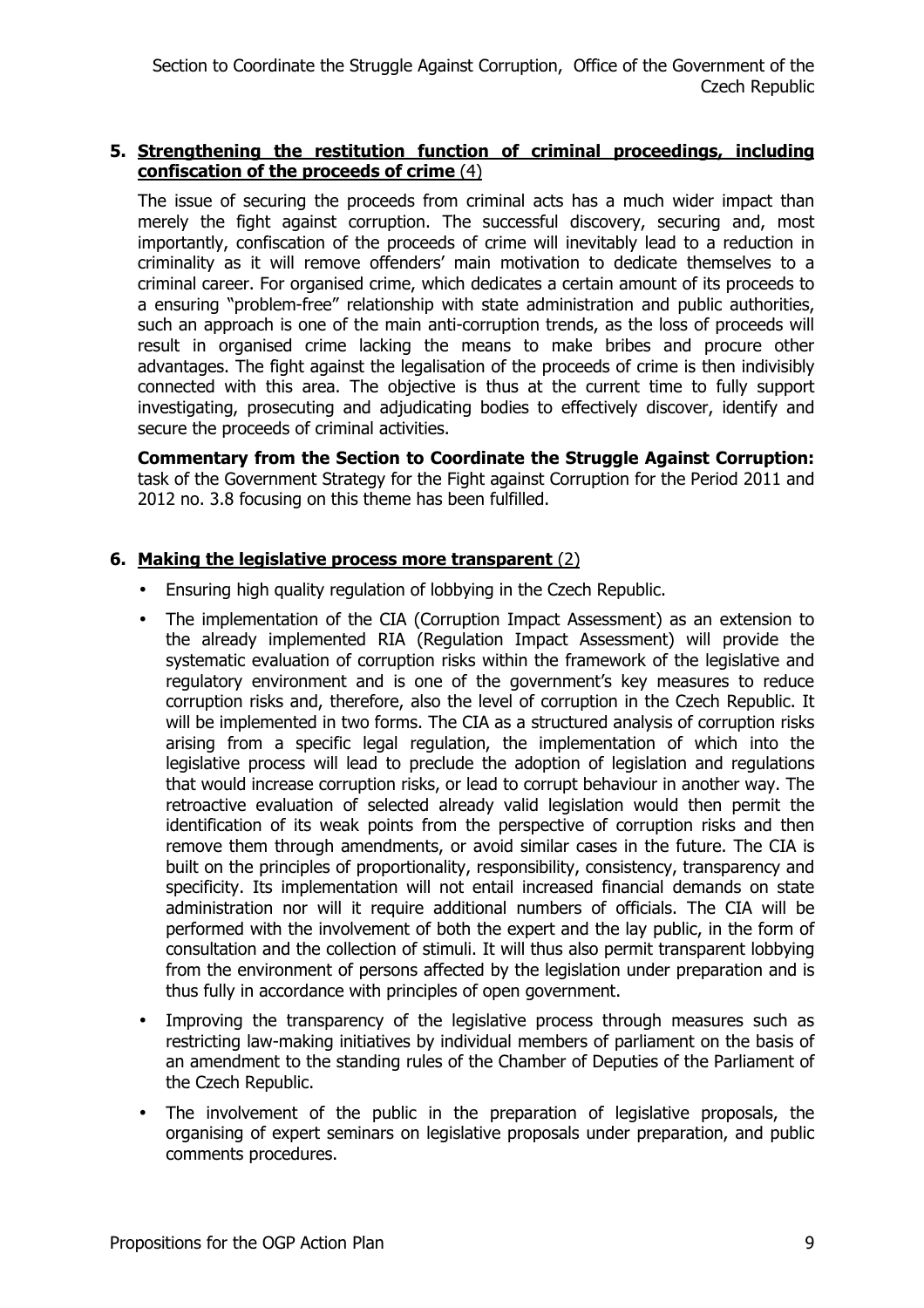## **5. Strengthening the restitution function of criminal proceedings, including confiscation of the proceeds of crime** (4)

The issue of securing the proceeds from criminal acts has a much wider impact than merely the fight against corruption. The successful discovery, securing and, most importantly, confiscation of the proceeds of crime will inevitably lead to a reduction in criminality as it will remove offenders' main motivation to dedicate themselves to a criminal career. For organised crime, which dedicates a certain amount of its proceeds to a ensuring "problem-free" relationship with state administration and public authorities, such an approach is one of the main anti-corruption trends, as the loss of proceeds will result in organised crime lacking the means to make bribes and procure other advantages. The fight against the legalisation of the proceeds of crime is then indivisibly connected with this area. The objective is thus at the current time to fully support investigating, prosecuting and adjudicating bodies to effectively discover, identify and secure the proceeds of criminal activities.

**Commentary from the Section to Coordinate the Struggle Against Corruption:** task of the Government Strategy for the Fight against Corruption for the Period 2011 and 2012 no. 3.8 focusing on this theme has been fulfilled.

## **6. Making the legislative process more transparent** (2)

- Ensuring high quality regulation of lobbying in the Czech Republic.
- The implementation of the CIA (Corruption Impact Assessment) as an extension to the already implemented RIA (Regulation Impact Assessment) will provide the systematic evaluation of corruption risks within the framework of the legislative and regulatory environment and is one of the government's key measures to reduce corruption risks and, therefore, also the level of corruption in the Czech Republic. It will be implemented in two forms. The CIA as a structured analysis of corruption risks arising from a specific legal regulation, the implementation of which into the legislative process will lead to preclude the adoption of legislation and regulations that would increase corruption risks, or lead to corrupt behaviour in another way. The retroactive evaluation of selected already valid legislation would then permit the identification of its weak points from the perspective of corruption risks and then remove them through amendments, or avoid similar cases in the future. The CIA is built on the principles of proportionality, responsibility, consistency, transparency and specificity. Its implementation will not entail increased financial demands on state administration nor will it require additional numbers of officials. The CIA will be performed with the involvement of both the expert and the lay public, in the form of consultation and the collection of stimuli. It will thus also permit transparent lobbying from the environment of persons affected by the legislation under preparation and is thus fully in accordance with principles of open government.
- Improving the transparency of the legislative process through measures such as restricting law-making initiatives by individual members of parliament on the basis of an amendment to the standing rules of the Chamber of Deputies of the Parliament of the Czech Republic.
- The involvement of the public in the preparation of legislative proposals, the organising of expert seminars on legislative proposals under preparation, and public comments procedures.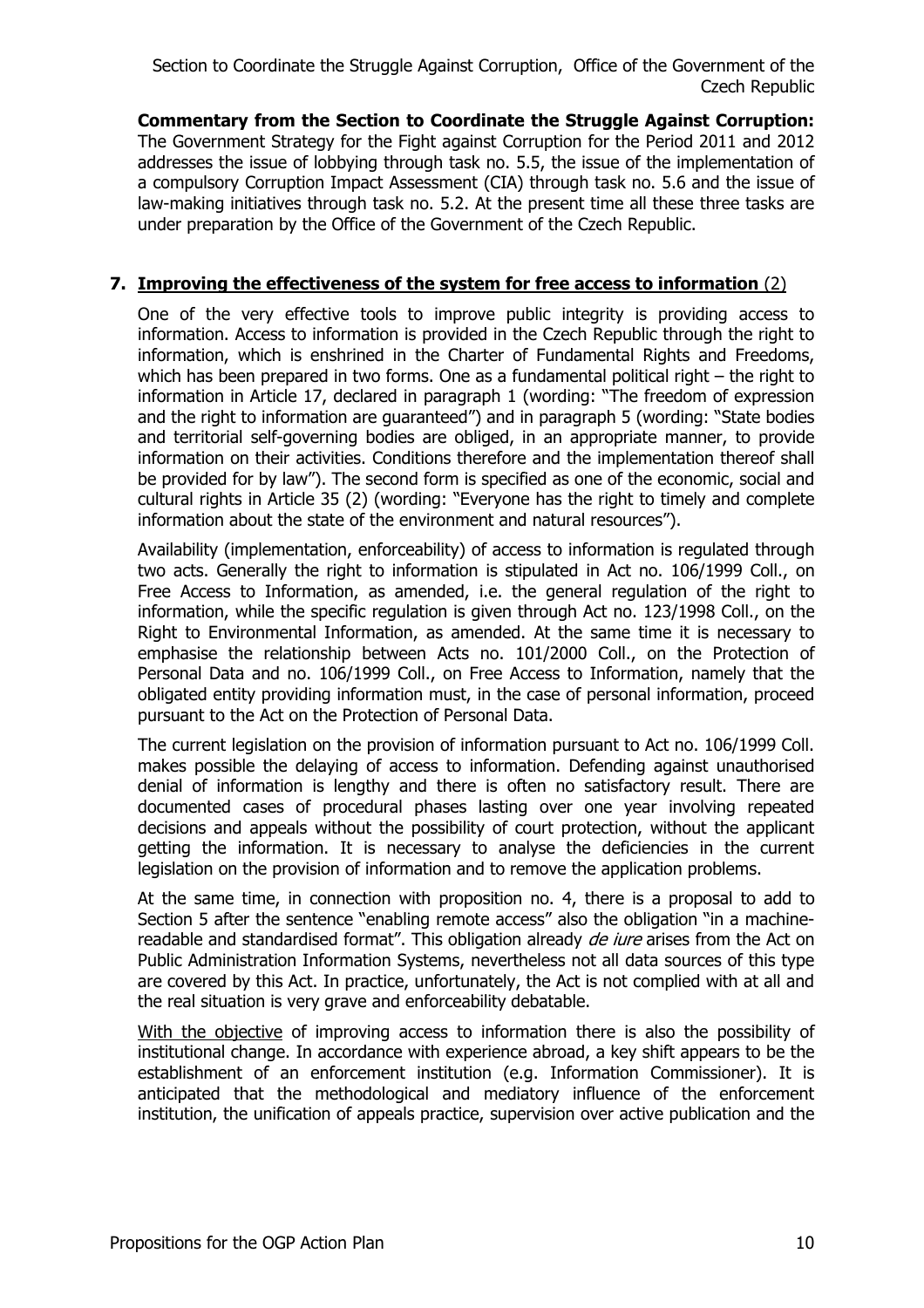**Commentary from the Section to Coordinate the Struggle Against Corruption:** The Government Strategy for the Fight against Corruption for the Period 2011 and 2012 addresses the issue of lobbying through task no. 5.5, the issue of the implementation of a compulsory Corruption Impact Assessment (CIA) through task no. 5.6 and the issue of law-making initiatives through task no. 5.2. At the present time all these three tasks are under preparation by the Office of the Government of the Czech Republic.

## **7. Improving the effectiveness of the system for free access to information** (2)

One of the very effective tools to improve public integrity is providing access to information. Access to information is provided in the Czech Republic through the right to information, which is enshrined in the Charter of Fundamental Rights and Freedoms, which has been prepared in two forms. One as a fundamental political right – the right to information in Article 17, declared in paragraph 1 (wording: "The freedom of expression and the right to information are guaranteed") and in paragraph 5 (wording: "State bodies and territorial self-governing bodies are obliged, in an appropriate manner, to provide information on their activities. Conditions therefore and the implementation thereof shall be provided for by law"). The second form is specified as one of the economic, social and cultural rights in Article 35 (2) (wording: "Everyone has the right to timely and complete information about the state of the environment and natural resources").

Availability (implementation, enforceability) of access to information is regulated through two acts. Generally the right to information is stipulated in Act no. 106/1999 Coll., on Free Access to Information, as amended, i.e. the general regulation of the right to information, while the specific regulation is given through Act no. 123/1998 Coll., on the Right to Environmental Information, as amended. At the same time it is necessary to emphasise the relationship between Acts no. 101/2000 Coll., on the Protection of Personal Data and no. 106/1999 Coll., on Free Access to Information, namely that the obligated entity providing information must, in the case of personal information, proceed pursuant to the Act on the Protection of Personal Data.

The current legislation on the provision of information pursuant to Act no. 106/1999 Coll. makes possible the delaying of access to information. Defending against unauthorised denial of information is lengthy and there is often no satisfactory result. There are documented cases of procedural phases lasting over one year involving repeated decisions and appeals without the possibility of court protection, without the applicant getting the information. It is necessary to analyse the deficiencies in the current legislation on the provision of information and to remove the application problems.

At the same time, in connection with proposition no. 4, there is a proposal to add to Section 5 after the sentence "enabling remote access" also the obligation "in a machinereadable and standardised format". This obligation already *de iure* arises from the Act on Public Administration Information Systems, nevertheless not all data sources of this type are covered by this Act. In practice, unfortunately, the Act is not complied with at all and the real situation is very grave and enforceability debatable.

With the objective of improving access to information there is also the possibility of institutional change. In accordance with experience abroad, a key shift appears to be the establishment of an enforcement institution (e.g. Information Commissioner). It is anticipated that the methodological and mediatory influence of the enforcement institution, the unification of appeals practice, supervision over active publication and the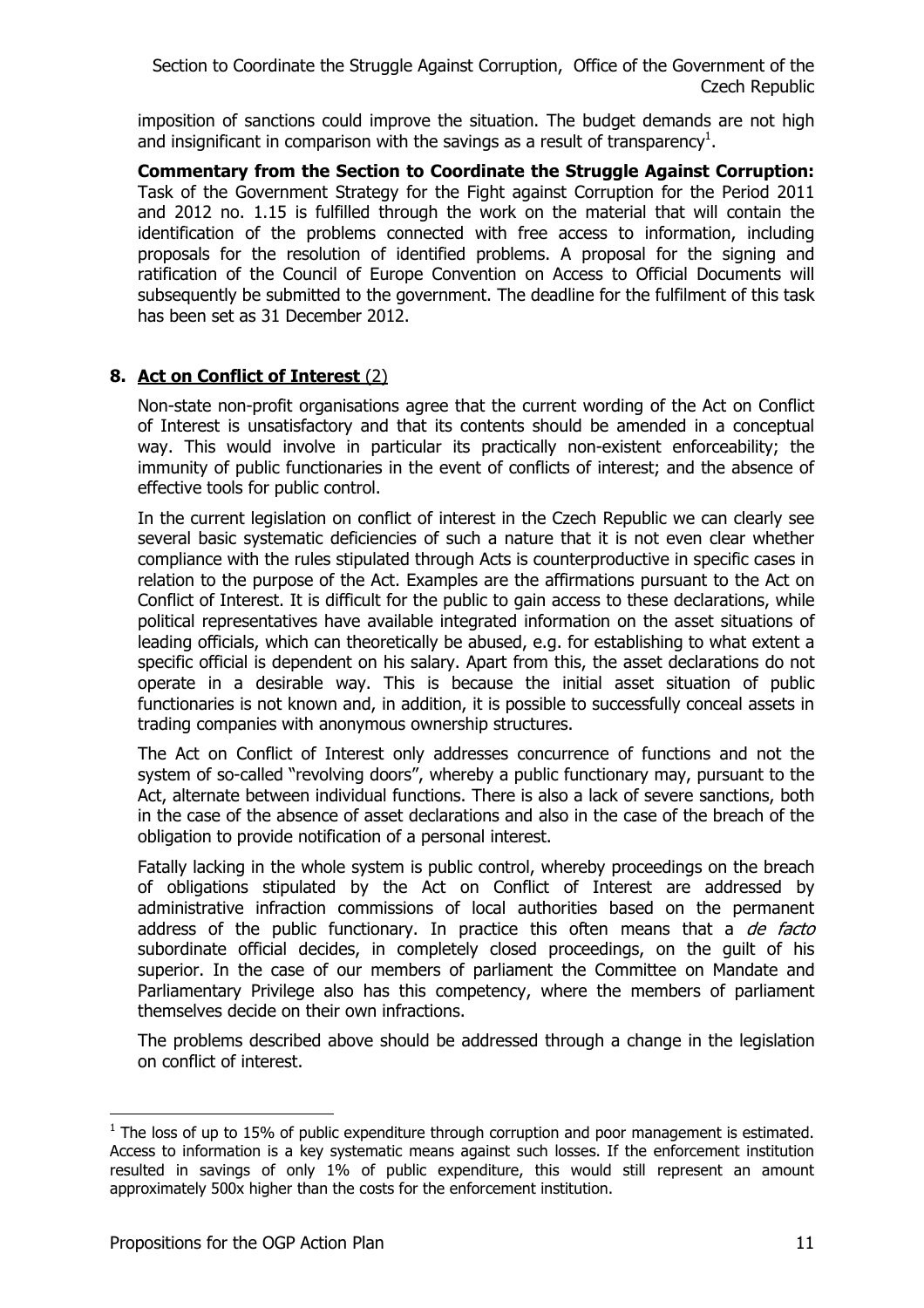imposition of sanctions could improve the situation. The budget demands are not high and insignificant in comparison with the savings as a result of transparency<sup>1</sup>.

**Commentary from the Section to Coordinate the Struggle Against Corruption:** Task of the Government Strategy for the Fight against Corruption for the Period 2011 and 2012 no. 1.15 is fulfilled through the work on the material that will contain the identification of the problems connected with free access to information, including proposals for the resolution of identified problems. A proposal for the signing and ratification of the Council of Europe Convention on Access to Official Documents will subsequently be submitted to the government. The deadline for the fulfilment of this task has been set as 31 December 2012.

## **8. Act on Conflict of Interest** (2)

Non-state non-profit organisations agree that the current wording of the Act on Conflict of Interest is unsatisfactory and that its contents should be amended in a conceptual way. This would involve in particular its practically non-existent enforceability; the immunity of public functionaries in the event of conflicts of interest; and the absence of effective tools for public control.

In the current legislation on conflict of interest in the Czech Republic we can clearly see several basic systematic deficiencies of such a nature that it is not even clear whether compliance with the rules stipulated through Acts is counterproductive in specific cases in relation to the purpose of the Act. Examples are the affirmations pursuant to the Act on Conflict of Interest. It is difficult for the public to gain access to these declarations, while political representatives have available integrated information on the asset situations of leading officials, which can theoretically be abused, e.g. for establishing to what extent a specific official is dependent on his salary. Apart from this, the asset declarations do not operate in a desirable way. This is because the initial asset situation of public functionaries is not known and, in addition, it is possible to successfully conceal assets in trading companies with anonymous ownership structures.

The Act on Conflict of Interest only addresses concurrence of functions and not the system of so-called "revolving doors", whereby a public functionary may, pursuant to the Act, alternate between individual functions. There is also a lack of severe sanctions, both in the case of the absence of asset declarations and also in the case of the breach of the obligation to provide notification of a personal interest.

Fatally lacking in the whole system is public control, whereby proceedings on the breach of obligations stipulated by the Act on Conflict of Interest are addressed by administrative infraction commissions of local authorities based on the permanent address of the public functionary. In practice this often means that a  $de$  facto subordinate official decides, in completely closed proceedings, on the guilt of his superior. In the case of our members of parliament the Committee on Mandate and Parliamentary Privilege also has this competency, where the members of parliament themselves decide on their own infractions.

The problems described above should be addressed through a change in the legislation on conflict of interest.

 $\overline{a}$ 

 $1$  The loss of up to 15% of public expenditure through corruption and poor management is estimated. Access to information is a key systematic means against such losses. If the enforcement institution resulted in savings of only 1% of public expenditure, this would still represent an amount approximately 500x higher than the costs for the enforcement institution.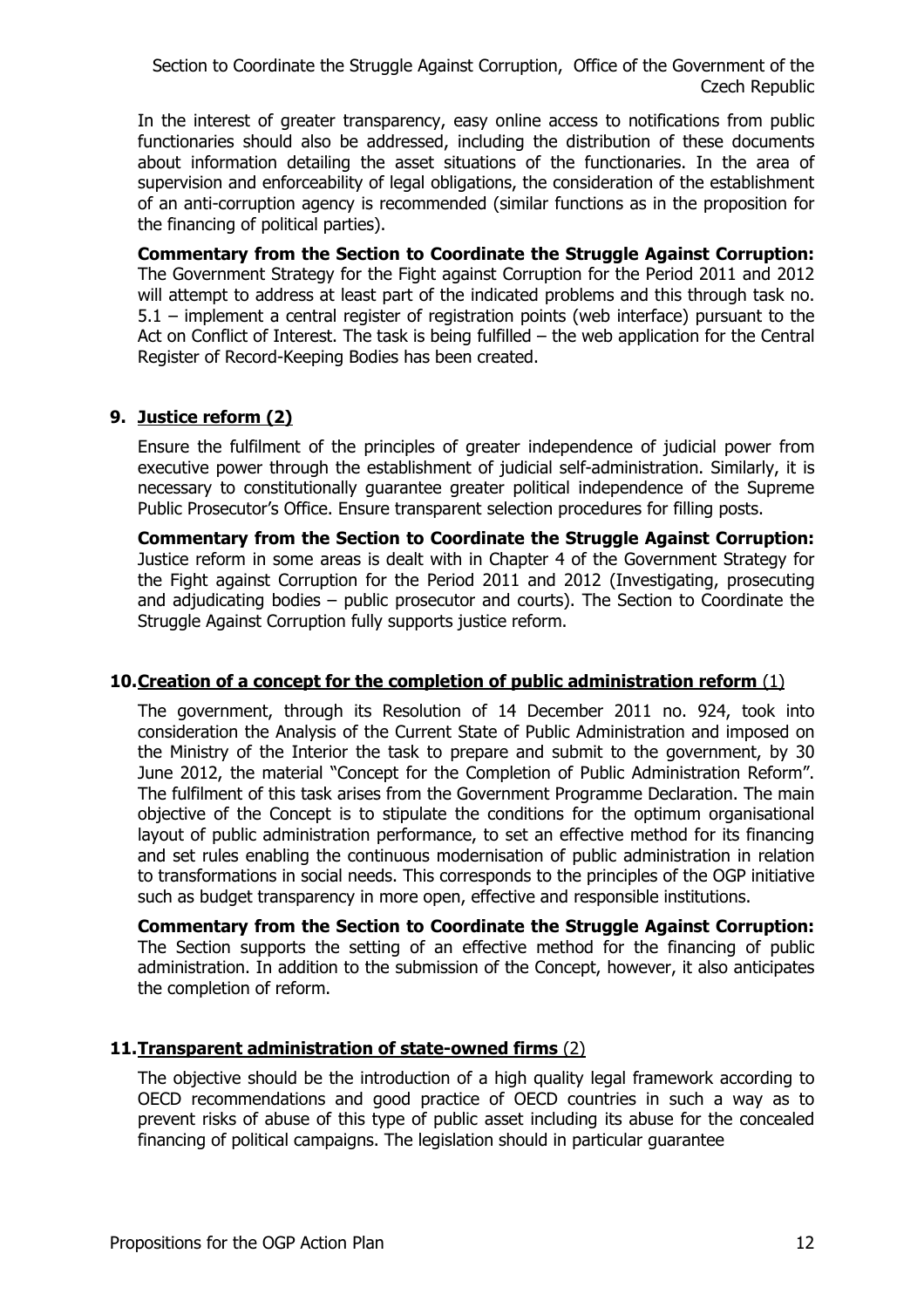In the interest of greater transparency, easy online access to notifications from public functionaries should also be addressed, including the distribution of these documents about information detailing the asset situations of the functionaries. In the area of supervision and enforceability of legal obligations, the consideration of the establishment of an anti-corruption agency is recommended (similar functions as in the proposition for the financing of political parties).

**Commentary from the Section to Coordinate the Struggle Against Corruption:** The Government Strategy for the Fight against Corruption for the Period 2011 and 2012 will attempt to address at least part of the indicated problems and this through task no. 5.1 – implement a central register of registration points (web interface) pursuant to the Act on Conflict of Interest. The task is being fulfilled – the web application for the Central Register of Record-Keeping Bodies has been created.

## **9. Justice reform (2)**

Ensure the fulfilment of the principles of greater independence of judicial power from executive power through the establishment of judicial self-administration. Similarly, it is necessary to constitutionally guarantee greater political independence of the Supreme Public Prosecutor's Office. Ensure transparent selection procedures for filling posts.

**Commentary from the Section to Coordinate the Struggle Against Corruption:**  Justice reform in some areas is dealt with in Chapter 4 of the Government Strategy for the Fight against Corruption for the Period 2011 and 2012 (Investigating, prosecuting and adjudicating bodies – public prosecutor and courts). The Section to Coordinate the Struggle Against Corruption fully supports justice reform.

#### **10.Creation of a concept for the completion of public administration reform** (1)

The government, through its Resolution of 14 December 2011 no. 924, took into consideration the Analysis of the Current State of Public Administration and imposed on the Ministry of the Interior the task to prepare and submit to the government, by 30 June 2012, the material "Concept for the Completion of Public Administration Reform". The fulfilment of this task arises from the Government Programme Declaration. The main objective of the Concept is to stipulate the conditions for the optimum organisational layout of public administration performance, to set an effective method for its financing and set rules enabling the continuous modernisation of public administration in relation to transformations in social needs. This corresponds to the principles of the OGP initiative such as budget transparency in more open, effective and responsible institutions.

**Commentary from the Section to Coordinate the Struggle Against Corruption:** The Section supports the setting of an effective method for the financing of public administration. In addition to the submission of the Concept, however, it also anticipates the completion of reform.

## **11.Transparent administration of state-owned firms** (2)

The objective should be the introduction of a high quality legal framework according to OECD recommendations and good practice of OECD countries in such a way as to prevent risks of abuse of this type of public asset including its abuse for the concealed financing of political campaigns. The legislation should in particular guarantee